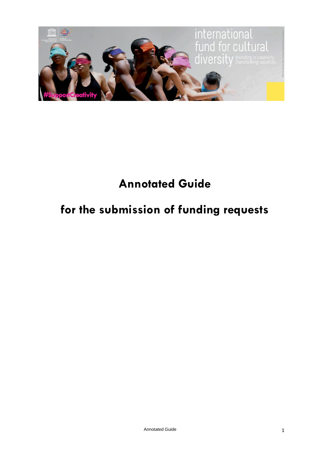

# **Annotated Guide**

# **for the submission of funding requests**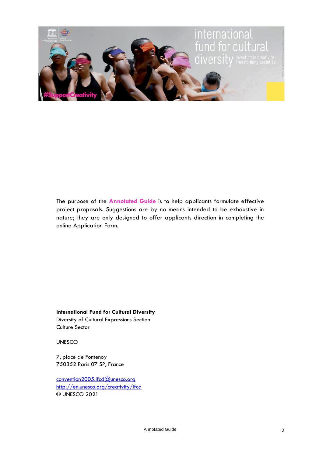

The purpose of the **Annotated Guide** is to help applicants formulate effective project proposals. Suggestions are by no means intended to be exhaustive in nature; they are only designed to offer applicants direction in completing the online Application Form.

**International Fund for Cultural Diversity** Diversity of Cultural Expressions Section

Culture Sector

UNESCO

7, place de Fontenoy 750352 Paris 07 SP, France

[convention2005.ifcd@unesco.org](mailto:convention2005.ifcd@unesco.org) <http://en.unesco.org/creativity/ifcd> © UNESCO 2021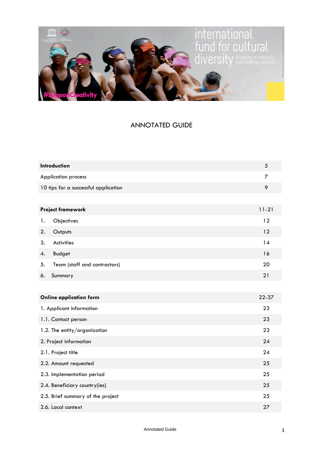

### ANNOTATED GUIDE

|                                   | Introduction                         |           |  |
|-----------------------------------|--------------------------------------|-----------|--|
|                                   | <b>Application process</b>           |           |  |
|                                   | 10 tips for a successful application |           |  |
|                                   |                                      |           |  |
|                                   | <b>Project framework</b>             | $11 - 21$ |  |
| 1.                                | Objectives                           | 12        |  |
| 2.                                | Outputs                              | 12        |  |
| 3.                                | <b>Activities</b>                    | 14        |  |
| 4.                                | <b>Budget</b>                        | 16        |  |
| 5.                                | Team (staff and contractors)         | 20        |  |
| 6.                                | Summary                              | 21        |  |
|                                   |                                      |           |  |
|                                   | <b>Online application form</b>       | 22-37     |  |
|                                   | 1. Applicant information             | 23        |  |
|                                   | 1.1. Contact person                  | 23        |  |
|                                   | 1.2. The entity/organization         | 23        |  |
|                                   | 2. Project information               | 24        |  |
|                                   | 2.1. Project title                   | 24        |  |
| 2.2. Amount requested             |                                      | 25        |  |
| 2.3. Implementation period        |                                      | 25        |  |
| 2.4. Beneficiary country(ies)     |                                      | 25        |  |
| 2.5. Brief summary of the project |                                      | 25        |  |
| 2.6. Local context                |                                      | 27        |  |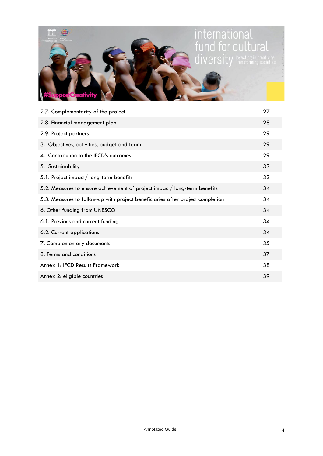

| 2.7. Complementarity of the project                                            | 27 |
|--------------------------------------------------------------------------------|----|
| 2.8. Financial management plan                                                 | 28 |
| 2.9. Project partners                                                          | 29 |
| 3. Objectives, activities, budget and team                                     | 29 |
| 4. Contribution to the IFCD's outcomes                                         | 29 |
| 5. Sustainability                                                              | 33 |
| 5.1. Project impact/long-term benefits                                         | 33 |
| 5.2. Measures to ensure achievement of project impact/long-term benefits       | 34 |
| 5.3. Measures to follow-up with project beneficiaries after project completion | 34 |
| 6. Other funding from UNESCO                                                   | 34 |
| 6.1. Previous and current funding                                              | 34 |
| 6.2. Current applications                                                      | 34 |
| 7. Complementary documents                                                     | 35 |
| 8. Terms and conditions                                                        | 37 |
| Annex 1: IFCD Results Framework                                                | 38 |
| Annex 2: eligible countries                                                    | 39 |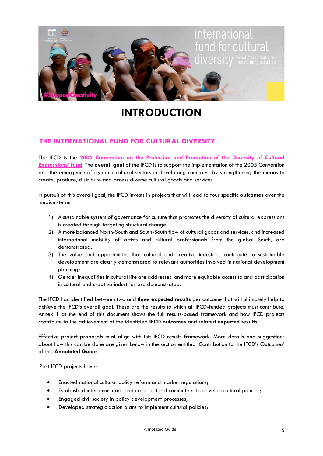

# **INTRODUCTION**

#### **THE INTERNATIONAL FUND FOR CULTURAL DIVERSITY**

The IFCD is the **[2005 Convention on the Protection and Promotion of the Diversity of Cultural](http://en.unesco.org/creativity/)  [Expressions](http://en.unesco.org/creativity/)' fund**. The **overall goal** of the IFCD is to support the implementation of the 2005 Convention and the emergence of dynamic cultural sectors in developing countries, by strengthening the means to create, produce, distribute and access diverse cultural goods and services.

In pursuit of this overall goal, the IFCD invests in projects that will lead to four specific **outcomes** over the medium-term:

- 1) A sustainable system of governance for culture that promotes the diversity of cultural expressions is created through targeting structural change;
- 2) A more balanced North-South and South-South flow of cultural goods and services, and increased international mobility of artists and cultural professionals from the global South, are demonstrated;
- 3) The value and opportunities that cultural and creative industries contribute to sustainable development are clearly demonstrated to relevant authorities involved in national development planning;
- 4) Gender inequalities in cultural life are addressed and more equitable access to and participation in cultural and creative industries are demonstrated.

The IFCD has identified between two and three **expected results** per outcome that will ultimately help to achieve the IFCD's overall goal. These are the results to which all IFCD-funded projects must contribute. Annex 1 at the end of this document shows the full results-based framework and how IFCD projects contribute to the achievement of the identified **IFCD outcomes** and related **expected results.**

Effective project proposals must align with this IFCD results framework. More details and suggestions about how this can be done are given below in the section entitled 'Contribution to the IFCD's Outcomes' of this **Annotated Guide**.

Past IFCD projects have:

- Enacted national cultural policy reform and market regulations;
- Established inter-ministerial and cross-sectoral committees to develop cultural policies;
- Engaged civil society in policy development processes;
- Developed strategic action plans to implement cultural policies;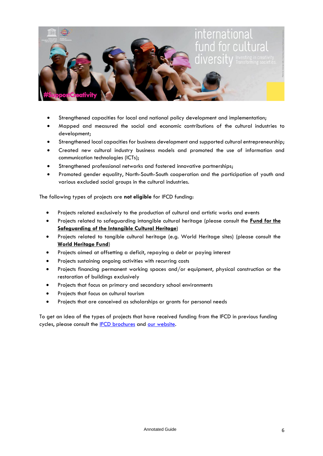

- Strengthened capacities for local and national policy development and implementation;
- Mapped and measured the social and economic contributions of the cultural industries to development;
- Strengthened local capacities for business development and supported cultural entrepreneurship;
- Created new cultural industry business models and promoted the use of information and communication technologies (ICTs);
- Strengthened professional networks and fostered innovative partnerships;
- Promoted gender equality, North-South-South cooperation and the participation of youth and various excluded social groups in the cultural industries.

The following types of projects are **not eligible** for IFCD funding:

- Projects related exclusively to the production of cultural and artistic works and events
- Projects related to safeguarding intangible cultural heritage (please consult the **[Fund for the](http://www.unesco.org/culture/ich/index.php?lg=en&pg=00013)  [Safeguarding of the Intangible Cultural Heritage](http://www.unesco.org/culture/ich/index.php?lg=en&pg=00013)**)
- Projects related to tangible cultural heritage (e.g. World Heritage sites) (please consult the **[World Heritage Fund](http://whc.unesco.org/en/funding/)**)
- Projects aimed at offsetting a deficit, repaying a debt or paying interest
- Projects sustaining ongoing activities with recurring costs
- Projects financing permanent working spaces and/or equipment, physical construction or the restoration of buildings exclusively
- Projects that focus on primary and secondary school environments
- Projects that focus on cultural tourism
- Projects that are conceived as scholarships or grants for personal needs

To get an idea of the types of projects that have received funding from the IFCD in previous funding cycles, please consult the **IFCD** brochures and [our website.](https://en.unesco.org/creativity/ifcd/projects)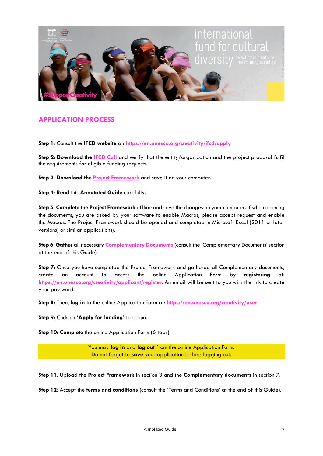

#### **APPLICATION PROCESS**

**Step 1**: Consult the **IFCD website** at: **<https://en.unesco.org/creativity/ifcd/apply>**

Step 2: Download the **IFCD Call** and verify that the entity/organization and the project proposal fulfil the **r**equirements for eligible funding requests.

**Step 3**: **Download the [Project Framework](https://en.unesco.org/creativity/sites/creativity/files/project_framework_2021_en.xlsx)** and save it on your computer.

**Step 4**: **Read** this **Annotated Guide** carefully.

**Step 5: Complete the Project Framework** offline and save the changes on your computer. If when opening the documents, you are asked by your software to enable Macros, please accept request and enable the Macros. The Project Framework should be opened and completed in Microsoft Excel (2011 or later versions) or similar applications).

**Step 6**: **Gather** all necessary **[Complementary Documents](https://en.unesco.org/creativity/sites/creativity/files/complementary_documents_list_2021.pdf)** (consult the 'Complementary Documents' section at the end of this Guide).

**Step 7**: Once you have completed the Project Framework and gathered all Complementary documents, create an account to access the online Application Form by **registering** at: **<https://en.unesco.org/creativity/applicant/register>**. An email will be sent to you with the link to create your password.

**Step 8:** Then, **log in** to the online Application Form at: **<https://en.unesco.org/creativity/user>**

**Step 9:** Click on **'Apply for funding'** to begin.

**Step 10**: **Complete** the online Application Form (6 tabs).

You may **log in** and **log out** from the online Application Form. Do not forget to **save** your application before logging out.

**Step 11**: Upload the **Project Framework** in section 3 and the **Complementary documents** in section 7.

**Step 12**: Accept the **terms and conditions** (consult the 'Terms and Conditions' at the end of this Guide).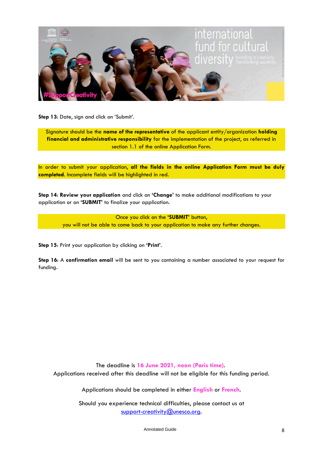

**Step 13:** Date, sign and click on 'Submit'.

Signature should be the **name of the representative** of the applicant entity/organization **holding financial and administrative responsibility** for the implementation of the project, as referred in section 1.1 of the online Application Form.

In order to submit your application, **all the fields in the online Application Form must be duly completed**. Incomplete fields will be highlighted in red.

**Step 14**: **Review your application** and click on **'Change'** to make additional modifications to your application or on **'SUBMIT'** to finalize your application.

> Once you click on the **'SUBMIT'** button, you will not be able to come back to your application to make any further changes.

**Step 15**: Print your application by clicking on **'Print'**.

**Step 16**: A **confirmation email** will be sent to you containing a number associated to your request for funding.

The deadline is **16 June 2021, noon (Paris time)**. Applications received after this deadline will not be eligible for this funding period.

Applications should be completed in either **English** or **French**.

Should you experience technical difficulties, please contact us at [support-creativity@unesco.org.](mailto:support-creativity@unesco.org)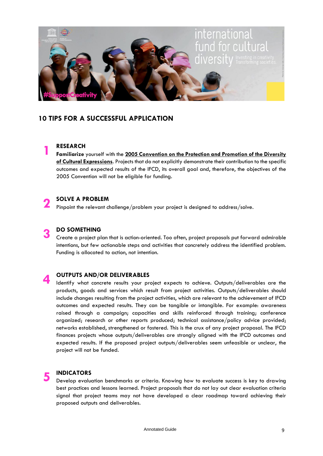

#### **10 TIPS FOR A SUCCESSFUL APPLICATION**

#### **RESEARCH**

**1**

**Familiarize** yourself with the **[2005 Convention on the Protection and Promotion of the Diversity](http://en.unesco.org/creativity/convention)  [of Cultural Expressions](http://en.unesco.org/creativity/convention)**. Projects that do not explicitly demonstrate their contribution to the specific outcomes and expected results of the IFCD, its overall goal and, therefore, the objectives of the 2005 Convention will not be eligible for funding.

#### **2 SOLVE A PROBLEM**

Pinpoint the relevant challenge/problem your project is designed to address/solve.

#### **3 DO SOMETHING**

Create a project plan that is action-oriented. Too often, project proposals put forward admirable intentions, but few actionable steps and activities that concretely address the identified problem. Funding is allocated to action, not intention.

#### **4 OUTPUTS AND/OR DELIVERABLES**

Identify what concrete results your project expects to achieve. Outputs/deliverables are the products, goods and services which result from project activities. Outputs/deliverables should include changes resulting from the project activities, which are relevant to the achievement of IFCD outcomes and expected results. They can be tangible or intangible. For example: awareness raised through a campaign; capacities and skills reinforced through training; conference organized; research or other reports produced; technical assistance/policy advice provided; networks established, strengthened or fostered. This is the crux of any project proposal. The IFCD finances projects whose outputs/deliverables are strongly aligned with the IFCD outcomes and expected results. If the proposed project outputs/deliverables seem unfeasible or unclear, the project will not be funded.

#### **5 INDICATORS**

Develop evaluation benchmarks or criteria. Knowing how to evaluate success is key to drawing best practices and lessons learned. Project proposals that do not lay out clear evaluation criteria signal that project teams may not have developed a clear roadmap toward achieving their proposed outputs and deliverables.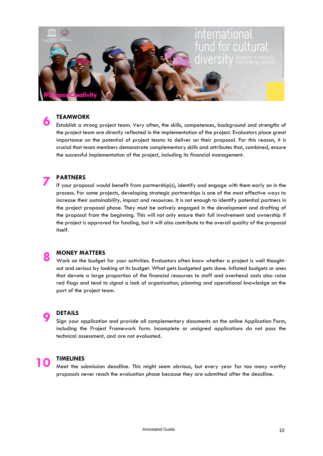

#### **TEAMWORK**

**6**

Establish a strong project team. Very often, the skills, competences, background and strengths of the project team are directly reflected in the implementation of the project. Evaluators place great importance on the potential of project teams to deliver on their proposal. For this reason, it is crucial that team members demonstrate complementary skills and attributes that, combined, ensure the successful implementation of the project, including its financial management.

#### **7 PARTNERS**

If your proposal would benefit from partnership(s), identify and engage with them early on in the process. For some projects, developing strategic partnerships is one of the most effective ways to increase their sustainability, impact and resources. It is not enough to identify potential partners in the project proposal phase. They must be actively engaged in the development and drafting of the proposal from the beginning. This will not only ensure their full involvement and ownership if the project is approved for funding, but it will also contribute to the overall quality of the proposal itself.

#### **8 MONEY MATTERS**

Work on the budget for your activities. Evaluators often know whether a project is well thoughtout and serious by looking at its budget. What gets budgeted gets done. Inflated budgets or ones that devote a large proportion of the financial resources to staff and overhead costs also raise red flags and tend to signal a lack of organization, planning and operational knowledge on the part of the project team.

#### **DETAILS**

Sign your application and provide all complementary documents on the online Application Form, including the Project Framework form. Incomplete or unsigned applications do not pass the technical assessment, and are not evaluated.

**9**

**10 TIMELINES**<br>Meet the submission deadline. This might seem obvious, but every year far too many worthy proposals never reach the evaluation phase because they are submitted after the deadline.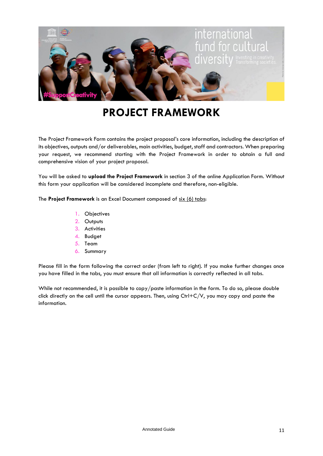

# **PROJECT FRAMEWORK**

The Project Framework Form contains the project proposal's core information, including the description of its objectives, outputs and/or deliverables, main activities, budget, staff and contractors. When preparing your request, we recommend starting with the Project Framework in order to obtain a full and comprehensive vision of your project proposal.

You will be asked to **upload the Project Framework** in section 3 of the online Application Form. Without this form your application will be considered incomplete and therefore, non-eligible.

The **Project Framework** is an Excel Document composed of six (6) tabs:

- 1. Objectives
- 2. Outputs
- 3. Activities
- 4. Budget
- 5. Team
- 6. Summary

Please fill in the form following the correct order (from left to right). If you make further changes once you have filled in the tabs, you must ensure that all information is correctly reflected in all tabs.

While not recommended, it is possible to copy/paste information in the form. To do so, please double click directly on the cell until the cursor appears. Then, using  $Ctrl + C/V$ , you may copy and paste the information.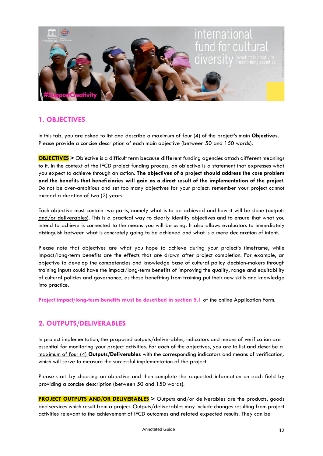

#### **1. OBJECTIVES**

In this tab, you are asked to list and describe a maximum of four (4) of the project's main **Objectives**. Please provide a concise description of each main objective (between 50 and 150 words).

**OBJECTIVES >** Objective is a difficult term because different funding agencies attach different meanings to it. In the context of the IFCD project funding process, an objective is a statement that expresses what you expect to achieve through an action. **The objectives of a project should address the core problem and the benefits that beneficiaries will gain as a direct result of the implementation of the project**. Do not be over-ambitious and set too many objectives for your project: remember your project cannot exceed a duration of two (2) years.

Each objective must contain two parts, namely what is to be achieved and how it will be done (outputs and/or deliverables). This is a practical way to clearly identify objectives and to ensure that what you intend to achieve is connected to the means you will be using. It also allows evaluators to immediately distinguish between what is concretely going to be achieved and what is a mere declaration of intent.

Please note that objectives are what you hope to achieve during your project's timeframe, while impact/long-term benefits are the effects that are drawn after project completion. For example, an objective to develop the competencies and knowledge base of cultural policy decision-makers through training inputs could have the impact/long-term benefits of improving the quality, range and equitability of cultural policies and governance, as those benefiting from training put their new skills and knowledge into practice.

**Project impact/long-term benefits must be described in section 5.1** of the online Application Form.

#### **2. OUTPUTS/DELIVERABLES**

In project implementation, the proposed outputs/deliverables, indicators and means of verification are essential for monitoring your project activities. For each of the objectives, you are to list and describe a maximum of four (4) **Outputs/Deliverables** with the corresponding indicators and means of verification, which will serve to measure the successful implementation of the project.

Please start by choosing an objective and then complete the requested information on each field by providing a concise description (between 50 and 150 words).

**PROJECT OUTPUTS AND/OR DELIVERABLES >** Outputs and/or deliverables are the products, goods and services which result from a project. Outputs/deliverables may include changes resulting from project activities relevant to the achievement of IFCD outcomes and related expected results. They can be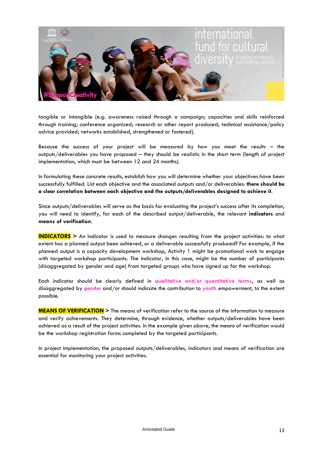

tangible or intangible (e.g. awareness raised through a campaign; capacities and skills reinforced through training; conference organized; research or other report produced; technical assistance/policy advice provided; networks established, strengthened or fostered).

Because the success of your project will be measured by how you meet the results – the outputs/deliverables you have proposed – they should be realistic in the short term (length of project implementation, which must be between 12 and 24 months).

In formulating these concrete results, establish how you will determine whether your objectives have been successfully fulfilled. List each objective and the associated outputs and/or deliverables: **there should be a clear correlation between each objective and the outputs/deliverables designed to achieve it**.

Since outputs/deliverables will serve as the basis for evaluating the project's success after its completion, you will need to identify, for each of the described output/deliverable, the relevant **indicators** and **means of verification**.

**INDICATORS >** An indicator is used to measure changes resulting from the project activities: to what extent has a planned output been achieved, or a deliverable successfully produced? For example, if the planned output is a capacity development workshop, Activity 1 might be promotional work to engage with targeted workshop participants. The indicator, in this case, might be the number of participants (disaggregated by gender and age) from targeted groups who have signed up for the workshop.

Each indicator should be clearly defined in **qualitative and/or quantitative terms,** as well as disaggregated by **gender** and/or should indicate the contribution to **youth** empowerment, to the extent possible.

**MEANS OF VERIFICATION >** The means of verification refer to the source of the information to measure and verify achievements. They determine, through evidence, whether outputs/deliverables have been achieved as a result of the project activities. In the example given above, the means of verification would be the workshop registration forms completed by the targeted participants.

In project implementation, the proposed outputs/deliverables, indicators and means of verification are essential for monitoring your project activities.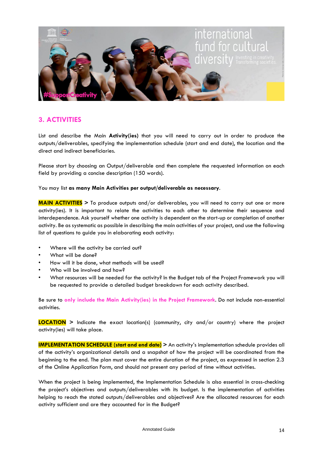

#### **3. ACTIVITIES**

List and describe the Main **Activity(ies)** that you will need to carry out in order to produce the outputs/deliverables, specifying the implementation schedule (start and end date), the location and the direct and indirect beneficiaries.

Please start by choosing an Output/deliverable and then complete the requested information on each field by providing a concise description (150 words).

You may list **as many Main Activities per output/deliverable as necessary**.

**MAIN ACTIVITIES >** To produce outputs and/or deliverables, you will need to carry out one or more activity(ies). It is important to relate the activities to each other to determine their sequence and interdependence. Ask yourself whether one activity is dependent on the start-up or completion of another activity. Be as systematic as possible in describing the main activities of your project, and use the following list of questions to guide you in elaborating each activity:

- Where will the activity be carried out?
- What will be done?
- How will it be done, what methods will be used?
- Who will be involved and how?
- What resources will be needed for the activity? In the Budget tab of the Project Framework you will be requested to provide a detailed budget breakdown for each activity described.

Be sure to **only include the Main Activity(ies) in the Project Framework**. Do not include non-essential activities.

**LOCATION >** Indicate the exact location(s) (community, city and/or country) where the project activity(ies) will take place.

**IMPLEMENTATION SCHEDULE (start and end date)** > An activity's implementation schedule provides all of the activity's organizational details and a snapshot of how the project will be coordinated from the beginning to the end. The plan must cover the entire duration of the project, as expressed in section 2.3 of the Online Application Form, and should not present any period of time without activities.

When the project is being implemented, the Implementation Schedule is also essential in cross-checking the project's objectives and outputs/deliverables with its budget. Is the implementation of activities helping to reach the stated outputs/deliverables and objectives? Are the allocated resources for each activity sufficient and are they accounted for in the Budget?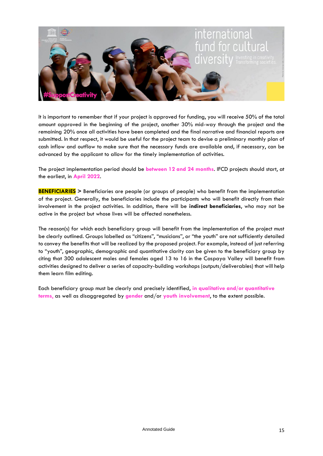

It is important to remember that if your project is approved for funding, you will receive 50% of the total amount approved in the beginning of the project, another 30% mid-way through the project and the remaining 20% once all activities have been completed and the final narrative and financial reports are submitted. In that respect, it would be useful for the project team to devise a preliminary monthly plan of cash inflow and outflow to make sure that the necessary funds are available and, if necessary, can be advanced by the applicant to allow for the timely implementation of activities.

The project implementation period should be **between 12 and 24 months**. IFCD projects should start, at the earliest, in **April 2022**.

**BENEFICIARIES >** Beneficiaries are people (or groups of people) who benefit from the implementation of the project. Generally, the beneficiaries include the participants who will benefit directly from their involvement in the project activities. In addition, there will be **indirect beneficiaries**, who may not be active in the project but whose lives will be affected nonetheless.

The reason(s) for which each beneficiary group will benefit from the implementation of the project must be clearly outlined. Groups labelled as "citizens", "musicians", or "the youth" are not sufficiently detailed to convey the benefits that will be realized by the proposed project. For example, instead of just referring to "youth", geographic, demographic and quantitative clarity can be given to the beneficiary group by citing that 300 adolescent males and females aged 13 to 16 in the Caspaya Valley will benefit from activities designed to deliver a series of capacity-building workshops (outputs/deliverables) that will help them learn film editing.

Each beneficiary group must be clearly and precisely identified, **in qualitative and/or quantitative terms**, as well as disaggregated by **gender** and/or **youth involvement**, to the extent possible.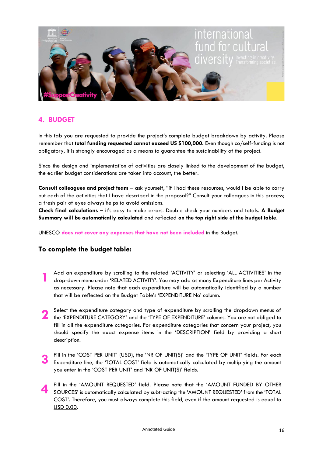

#### **4. BUDGET**

In this tab you are requested to provide the project's complete budget breakdown by activity. Please remember that **total funding requested cannot exceed US \$100,000.** Even though co/self-funding is not obligatory, it is strongly encouraged as a means to guarantee the sustainability of the project.

Since the design and implementation of activities are closely linked to the development of the budget, the earlier budget considerations are taken into account, the better.

**Consult colleagues and project team** – ask yourself, "if I had these resources, would I be able to carry out each of the activities that I have described in the proposal?" Consult your colleagues in this process; a fresh pair of eyes always helps to avoid omissions.

**Check final calculations** – it's easy to make errors. Double-check your numbers and totals. **A Budget Summary will be automatically calculated** and reflected **on the top right side of the budget table**.

UNESCO **does not cover any expenses that have not been included** in the Budget.

#### **To complete the budget table:**

- **1** Add an expenditure by scrolling to the related 'ACTIVITY' or selecting 'ALL ACTIVITIES' in the drop-down menu under 'RELATED ACTIVITY'. You may add as many Expenditure lines per Activity as necessary. Please note that each expenditure will be automatically identified by a number that will be reflected on the Budget Table's 'EXPENDITURE No' column.
- Select the expenditure category and type of expenditure by scrolling the dropdown menus of the 'EXPENDITURE' CATEGORY' and the 'TYPE OF EXPENDITURE' columns. You are not obliged to Select the expenditure category and type of expenditure by scrolling the dropdown menus of fill in all the expenditure categories. For expenditure categories that concern your project, you should specify the exact expense items in the 'DESCRIPTION' field by providing a short description.
- **3** Fill in the 'COST PER UNIT' (USD), the 'NR OF UNIT(S)' and the 'TYPE OF UNIT' fields. For each Expenditure line, the 'TOTAL COST' field is automatically calculated by multiplying the amount you enter in the 'COST PER UNIT' and 'NR OF UNIT(S)' fields.
- **4** Fill in the 'AMOUNT REQUESTED' field. Please note that the 'AMOUNT FUNDED BY OTHER SOURCES' is automatically calculated by subtracting the 'AMOUNT REQUESTED' from the 'TOTAL COST'. Therefore, you must always complete this field, even if the amount requested is equal to USD 0.00.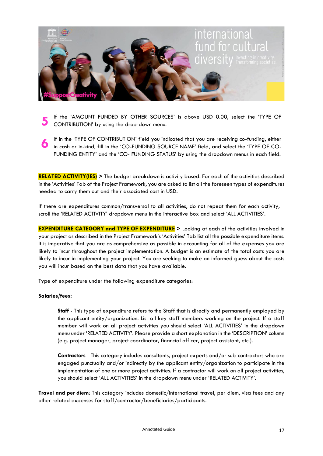

- **5** If the 'AMOUNT FUNDED BY OTHER SOURCES' is above USD 0.00, select the 'TYPE OF CONTRIBUTION' by using the drop-down menu.
- **6** If in the 'TYPE OF CONTRIBUTION' field you indicated that you are receiving co-funding, either in cash or in-kind, fill in the 'CO-FUNDING SOURCE NAME' field, and select the 'TYPE OF CO-FUNDING ENTITY' and the 'CO- FUNDING STATUS' by using the dropdown menus in each field.

**RELATED ACTIVITY(IES) >** The budget breakdown is activity based. For each of the activities described in the 'Activities' Tab of the Project Framework, you are asked to list all the foreseen types of expenditures needed to carry them out and their associated cost in USD.

If there are expenditures common/transversal to all activities, do not repeat them for each activity, scroll the 'RELATED ACTIVITY' dropdown menu in the interactive box and select 'ALL ACTIVITIES'.

**EXPENDITURE CATEGORY and TYPE OF EXPENDITURE** > Looking at each of the activities involved in your project as described in the Project Framework's 'Activities' Tab list all the possible expenditure items. It is imperative that you are as comprehensive as possible in accounting for all of the expenses you are likely to incur throughout the project implementation. A budget is an estimate of the total costs you are likely to incur in implementing your project. You are seeking to make an informed guess about the costs you will incur based on the best data that you have available.

Type of expenditure under the following expenditure categories:

#### **Salaries/fees:**

**Staff** - This type of expenditure refers to the Staff that is directly and permanently employed by the applicant entity/organization. List all key staff members working on the project. If a staff member will work on all project activities you should select 'ALL ACTIVITIES' in the dropdown menu under 'RELATED ACTIVITY'. Please provide a short explanation in the 'DESCRIPTION' column (e.g. project manager, project coordinator, financial officer, project assistant, etc.).

**Contractors** - This category includes consultants, project experts and/or sub-contractors who are engaged punctually and/or indirectly by the applicant entity/organization to participate in the implementation of one or more project activities. If a contractor will work on all project activities, you should select 'ALL ACTIVITIES' in the dropdown menu under 'RELATED ACTIVITY'.

**Travel and per diem**: This category includes domestic/international travel, per diem, visa fees and any other related expenses for staff/contractor/beneficiaries/participants.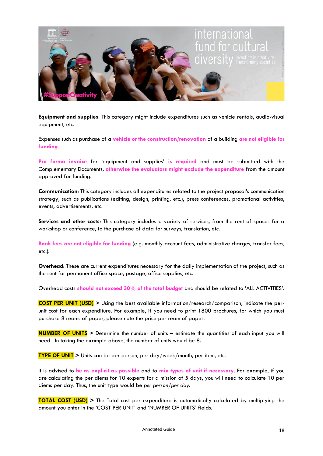

**Equipment and supplies**: This category might include expenditures such as vehicle rentals, audio-visual equipment, etc.

Expenses such as purchase of a **vehicle or the construction/renovation** of a building **are not eligible for funding**.

**Pro forma invoice** for 'equipment and supplies' **is required** and must be submitted with the Complementary Documents, **otherwise the evaluators might exclude the expenditure** from the amount approved for funding.

**Communication**: This category includes all expenditures related to the project proposal's communication strategy, such as publications (editing, design, printing, etc.), press conferences, promotional activities, events, advertisements, etc.

**Services and other costs**: This category includes a variety of services, from the rent of spaces for a workshop or conference, to the purchase of data for surveys, translation, etc.

**Bank fees are not eligible for funding** (e.g. monthly account fees, administrative charges, transfer fees, etc.).

**Overhead**: These are current expenditures necessary for the daily implementation of the project, such as the rent for permanent office space, postage, office supplies, etc.

Overhead costs **should not exceed 30% of the total budget** and should be related to 'ALL ACTIVITIES'.

**COST PER UNIT (USD) >** Using the best available information/research/comparison, indicate the perunit cost for each expenditure. For example, if you need to print 1800 brochures, for which you must purchase 8 reams of paper, please note the price per ream of paper.

**NUMBER OF UNITS >** Determine the number of units – estimate the quantities of each input you will need. In taking the example above, the number of units would be 8.

**TYPE OF UNIT >** Units can be per person, per day/week/month, per item, etc.

It is advised to **be as explicit as possible** and to **mix types of unit if necessary**. For example, if you are calculating the per diems for 10 experts for a mission of 5 days, you will need to calculate 10 per diems per day. Thus, the unit type would be *per person/per day*.

**TOTAL COST (USD)** > The Total cost per expenditure is automatically calculated by multiplying the amount you enter in the 'COST PER UNIT' and 'NUMBER OF UNITS' fields.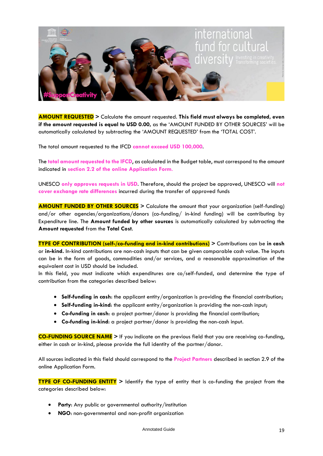

**AMOUNT REQUESTED >** Calculate the amount requested. **This field must always be completed, even if the amount requested is equal to USD 0.00,** as the 'AMOUNT FUNDED BY OTHER SOURCES' will be automatically calculated by subtracting the 'AMOUNT REQUESTED' from the 'TOTAL COST'.

The total amount requested to the IFCD **cannot exceed USD 100,000**.

The **total amount requested to the IFCD**, as calculated in the Budget table, must correspond to the amount indicated in **section 2.2 of the online Application Form**.

UNESCO **only approves requests in USD**. Therefore, should the project be approved, UNESCO will **not cover exchange rate differences** incurred during the transfer of approved funds

**AMOUNT FUNDED BY OTHER SOURCES >** Calculate the amount that your organization (self-funding) and/or other agencies/organizations/donors (co-funding/ in-kind funding) will be contributing by Expenditure line. The **Amount funded by other sources** is automatically calculated by subtracting the **Amount requested** from the **Total Cost**.

**TYPE OF CONTRIBUTION (self-/co-funding and in-kind contributions) >** Contributions can be **in cash** or **in-kind.** In-kind contributions are non-cash inputs that can be given comparable cash value. The inputs can be in the form of goods, commodities and/or services, and a reasonable approximation of the equivalent cost in USD should be included.

In this field, you must indicate which expenditures are co/self-funded, and determine the type of contribution from the categories described below:

- **Self-funding in cash**: the applicant entity/organization is providing the financial contribution;
- **Self-funding in-kind**: the applicant entity/organization is providing the non-cash input;
- **Co-funding in cash**: a project partner/donor is providing the financial contribution;
- **Co-funding in-kind**: a project partner/donor is providing the non-cash input.

**CO-FUNDING SOURCE NAME >** If you indicate on the previous field that you are receiving co-funding, either in cash or in-kind, please provide the full identity of the partner/donor.

All sources indicated in this field should correspond to the **Project Partners** described in section 2.9 of the online Application Form.

**TYPE OF CO-FUNDING ENTITY >** Identify the type of entity that is co-funding the project from the categories described below:

- **Party**: Any public or governmental authority/institution
- **NGO**: non-governmental and non-profit organization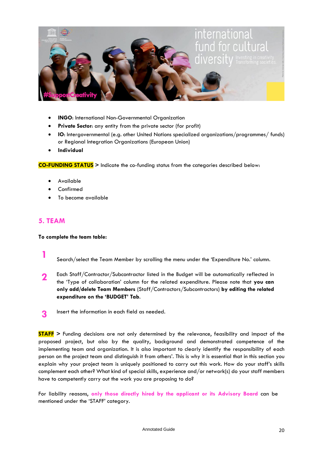

- **INGO:** International Non-Governmental Organization
- **Private Sector**: any entity from the private sector (for profit)
- **IO**: Intergovernmental (e.g. other United Nations specialized organizations/programmes/ funds) or Regional Integration Organizations (European Union)
- **Individual**

**CO-FUNDING STATUS >** Indicate the co-funding status from the categories described below:

- Available
- **Confirmed**
- To become available

#### **5. TEAM**

**To complete the team table:**

**1** Search/select the Team Member by scrolling the menu under the 'Expenditure No.' column.

- **2** Each Staff/Contractor/Subcontractor listed in the Budget will be automatically reflected in the 'Type of collaboration' column for the related expenditure. Please note that **you can only add/delete Team Members** (Staff/Contractors/Subcontractors) **by editing the related expenditure on the 'BUDGET' Tab**.
- **3** Insert the information in each field as needed.

**STAFF >** Funding decisions are not only determined by the relevance, feasibility and impact of the proposed project, but also by the quality, background and demonstrated competence of the implementing team and organization. It is also important to clearly identify the responsibility of each person on the project team and distinguish it from others'. This is why it is essential that in this section you explain why your project team is uniquely positioned to carry out this work. How do your staff's skills complement each other? What kind of special skills, experience and/or network(s) do your staff members have to competently carry out the work you are proposing to do?

For liability reasons, **only those directly hired by the applicant or its Advisory Board** can be mentioned under the 'STAFF' category.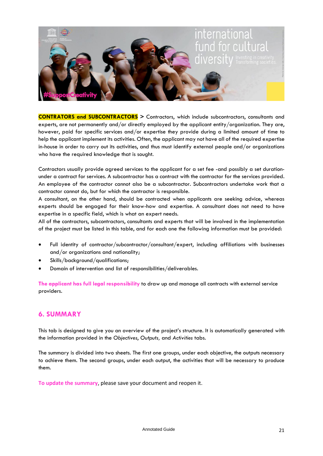

**CONTRATORS and SUBCONTRACTORS >** Contractors, which include subcontractors, consultants and experts, are not permanently and/or directly employed by the applicant entity/organization. They are, however, paid for specific services and/or expertise they provide during a limited amount of time to help the applicant implement its activities. Often, the applicant may not have all of the required expertise in-house in order to carry out its activities, and thus must identify external people and/or organizations who have the required knowledge that is sought.

Contractors usually provide agreed services to the applicant for a set fee -and possibly a set durationunder a contract for services. A subcontractor has a contract with the contractor for the services provided. An employee of the contractor cannot also be a subcontractor. Subcontractors undertake work that a contractor cannot do, but for which the contractor is responsible.

A consultant, on the other hand, should be contracted when applicants are seeking advice, whereas experts should be engaged for their know-how and expertise. A consultant does not need to have expertise in a specific field, which is what an expert needs.

All of the contractors, subcontractors, consultants and experts that will be involved in the implementation of the project must be listed in this table, and for each one the following information must be provided:

- Full identity of contractor/subcontractor/consultant/expert, including affiliations with businesses and/or organizations and nationality;
- Skills/background/qualifications;
- Domain of intervention and list of responsibilities/deliverables.

**The applicant has full legal responsibility** to draw up and manage all contracts with external service providers.

#### **6. SUMMARY**

This tab is designed to give you an overview of the project's structure. It is automatically generated with the information provided in the *Objectives*, *Outputs,* and *Activities* tabs.

The summary is divided into two sheets. The first one groups, under each objective, the outputs necessary to achieve them. The second groups, under each output, the activities that will be necessary to produce them.

**To update the summary**, please save your document and reopen it.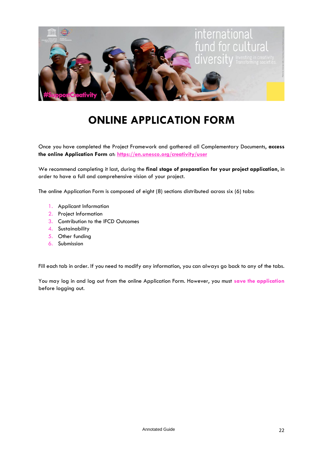

# **ONLINE APPLICATION FORM**

Once you have completed the Project Framework and gathered all Complementary Documents, **access the online Application Form** at: **<https://en.unesco.org/creativity/user>**

We recommend completing it last, during the **final stage of preparation for your project application**, in order to have a full and comprehensive vision of your project.

The online Application Form is composed of eight (8) sections distributed across six (6) tabs:

- 1. Applicant Information
- 2. Project Information
- 3. Contribution to the IFCD Outcomes
- 4. Sustainability
- 5. Other funding
- 6. Submission

Fill each tab in order. If you need to modify any information, you can always go back to any of the tabs.

You may log in and log out from the online Application Form. However, you must **save the application** before logging out.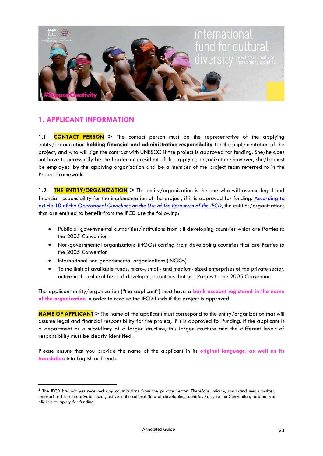

#### **1. APPLICANT INFORMATION**

**1.1. CONTACT PERSON >** The contact person must be the representative of the applying entity/organization **holding financial and administrative responsibility** for the implementation of the project, and who will sign the contract with UNESCO if the project is approved for funding. She/he does not have to necessarily be the leader or president of the applying organization; however, she/he must be employed by the applying organization and be a member of the project team referred to in the Project Framework.

**1.2. THE ENTITY/ORGANIZATION >** The entity/organization is the one who will assume legal and financial responsibility for the implementation of the project, if it is approved for funding. [According to](https://unesdoc.unesco.org/ark:/48223/pf0000370521.page=72)  article 10 of the *[Operational Guidelines on the Use of the Resources of the IFCD](https://unesdoc.unesco.org/ark:/48223/pf0000370521.page=72)*, the entities/organizations that are entitled to benefit from the IFCD are the following:

- Public or governmental authorities/institutions from all developing countries which are Parties to the 2005 Convention
- Non-governmental organizations (NGOs) coming from developing countries that are Parties to the 2005 Convention
- International non-governmental organizations (INGOs)
- To the limit of available funds, micro-, small- and medium- sized enterprises of the private sector, active in the cultural field of developing countries that are Parties to the 2005 Convention<sup>1</sup>

The applicant entity/organization ("the applicant") must have a **bank account registered in the name of the organization** in order to receive the IFCD funds if the project is approved.

**NAME OF APPLICANT >** The name of the applicant must correspond to the entity/organization that will assume legal and financial responsibility for the project, if it is approved for funding. If the applicant is a department or a subsidiary of a larger structure, this larger structure and the different levels of responsibility must be clearly identified.

Please ensure that you provide the name of the applicant in its **original language, as well as its translation** into English or French.

 $^{\rm 1}$  The IFCD has not yet received any contributions from the private sector. Therefore, micro-, small-and medium-sized enterprises from the private sector, active in the cultural field of developing countries Party to the Convention, are not yet eligible to apply for funding.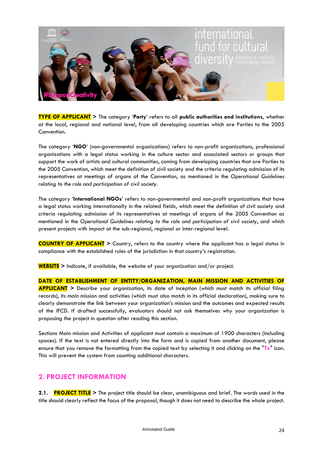

**TYPE OF APPLICANT >** The category '**Party**' refers to all **public authorities and institutions**, whether at the local, regional and national level, from all developing countries which are Parties to the 2005 Convention.

The category '**NGO**' (non-governmental organizations) refers to non-profit organizations, professional organizations with a legal status working in the culture sector and associated sectors or groups that support the work of artists and cultural communities, coming from developing countries that are Parties to the 2005 Convention, which meet the definition of civil society and the criteria regulating admission of its representatives at meetings of organs of the Convention, as mentioned in the *Operational Guidelines relating to the role and participation of civil society*.

The category '**International NGOs**' refers to non-governmental and non-profit organizations that have a legal status working internationally in the related fields, which meet the definition of civil society and criteria regulating admission of its representatives at meetings of organs of the 2005 Convention as mentioned in the *Operational Guidelines relating to the role and participation of civil society*, and which present projects with impact at the sub-regional, regional or inter-regional level.

**COUNTRY OF APPLICANT >** Country, refers to the country where the applicant has a legal status in compliance with the established rules of the jurisdiction in that country's registration.

**WEBSITE >** Indicate, if available, the website of your organization and/or project.

**DATE OF ESTABLISHMENT OF ENTITY/ORGANIZATION, MAIN MISSION AND ACTIVITIES OF APPLICANT >** Describe your organization, its date of inception (which must match its official filing records), its main mission and activities (which must also match in its official declaration), making sure to clearly demonstrate the link between your organization's mission and the outcomes and expected results of the IFCD. If drafted successfully, evaluators should not ask themselves why your organization is proposing the project in question after reading this section.

Sections Main mission and Activities of applicant must contain a maximum of 1900 characters (including spaces). If the text is not entered directly into the form and is copied from another document, please ensure that you remove the formatting from the copied text by selecting it and clicking on the "**Tx**" icon. This will prevent the system from counting additional characters.

#### **2. PROJECT INFORMATION**

**2.1. PROJECT TITLE >** The project title should be clear, unambiguous and brief. The words used in the title should clearly reflect the focus of the proposal, though it does not need to describe the whole project.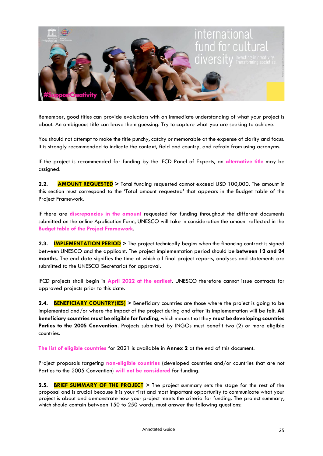

Remember, good titles can provide evaluators with an immediate understanding of what your project is about. An ambiguous title can leave them guessing. Try to capture what you are seeking to achieve.

You should not attempt to make the title punchy, catchy or memorable at the expense of clarity and focus. It is strongly recommended to indicate the context, field and country, and refrain from using acronyms.

If the project is recommended for funding by the IFCD Panel of Experts, an **alternative title** may be assigned.

**2.2. AMOUNT REQUESTED >** Total funding requested cannot exceed USD 100,000. The amount in this section must correspond to the 'Total amount requested' that appears in the Budget table of the Project Framework.

If there are **discrepancies in the amount** requested for funding throughout the different documents submitted on the online Application Form, UNESCO will take in consideration the amount reflected in the **Budget table of the Project Framework**.

**2.3. IMPLEMENTATION PERIOD >** The project technically begins when the financing contract is signed between UNESCO and the applicant. The project implementation period should be **between 12 and 24 months**. The end date signifies the time at which all final project reports, analyses and statements are submitted to the UNESCO Secretariat for approval.

IFCD projects shall begin in **April 2022 at the earliest**. UNESCO therefore cannot issue contracts for approved projects prior to this date.

**2.4. BENEFICIARY COUNTRY(IES) >** Beneficiary countries are those where the project is going to be implemented and/or where the impact of the project during and after its implementation will be felt. **All beneficiary countries must be eligible for funding**, which means that they **must be developing countries**  Parties to the 2005 Convention. Projects submitted by INGOs must benefit two (2) or more eligible countries.

**The list of eligible countries** for 2021 is available in **Annex 2** at the end of this document.

Project proposals targeting **non-eligible countries** (developed countries and/or countries that are not Parties to the 2005 Convention) **will not be considered** for funding.

**2.5. BRIEF SUMMARY OF THE PROJECT >** The project summary sets the stage for the rest of the proposal and is crucial because it is your first and most important opportunity to communicate what your project is about and demonstrate how your project meets the criteria for funding. The project summary, which should contain between 150 to 250 words, must answer the following questions: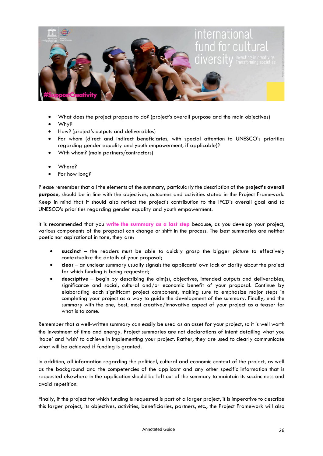

- What does the project propose to do? (project's overall purpose and the main objectives)
- Why?
- How? (project's outputs and deliverables)
- For whom (direct and indirect beneficiaries, with special attention to UNESCO's priorities regarding gender equality and youth empowerment, if applicable)?
- With whom? (main partners/contractors)
- Where?
- For how long?

Please remember that all the elements of the summary, particularly the description of the **project's overall purpose**, should be in line with the objectives, outcomes and activities stated in the Project Framework. Keep in mind that it should also reflect the project's contribution to the IFCD's overall goal and to UNESCO's priorities regarding gender equality and youth empowerment.

It is recommended that you **write the summary as a last step** because, as you develop your project, various components of the proposal can change or shift in the process. The best summaries are neither poetic nor aspirational in tone, they are:

- **succinct** the readers must be able to quickly grasp the bigger picture to effectively contextualize the details of your proposal;
- **clear** an unclear summary usually signals the applicants' own lack of clarity about the project for which funding is being requested;
- **descriptive** begin by describing the aim(s), objectives, intended outputs and deliverables, significance and social, cultural and/or economic benefit of your proposal. Continue by elaborating each significant project component, making sure to emphasize major steps in completing your project as a way to guide the development of the summary. Finally, end the summary with the one, best, most creative/innovative aspect of your project as a teaser for what is to come.

Remember that a well-written summary can easily be used as an asset for your project, so it is well worth the investment of time and energy. Project summaries are not declarations of intent detailing what you 'hope' and 'wish' to achieve in implementing your project. Rather, they are used to clearly communicate what will be achieved if funding is granted.

In addition, all information regarding the political, cultural and economic context of the project, as well as the background and the competencies of the applicant and any other specific information that is requested elsewhere in the application should be left out of the summary to maintain its succinctness and avoid repetition.

Finally, if the project for which funding is requested is part of a larger project, it is imperative to describe this larger project, its objectives, activities, beneficiaries, partners, etc., the Project Framework will also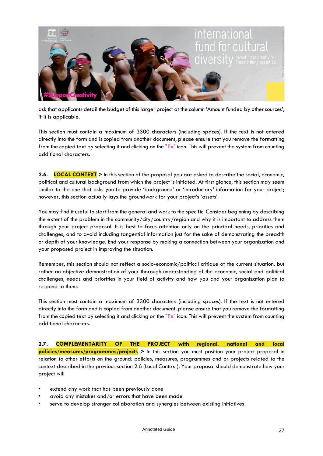

ask that applicants detail the budget of this larger project at the column 'Amount funded by other sources', if it is applicable.

This section must contain a maximum of 3300 characters (including spaces). If the text is not entered directly into the form and is copied from another document, please ensure that you remove the formatting from the copied text by selecting it and clicking on the "**Tx**" icon. This will prevent the system from counting additional characters.

**2.6. LOCAL CONTEXT >** In this section of the proposal you are asked to describe the social, economic, political and cultural background from which the project is initiated. At first glance, this section may seem similar to the one that asks you to provide 'background' or 'introductory' information for your project; however, this section actually lays the groundwork for your project's 'assets'.

You may find it useful to start from the general and work to the specific. Consider beginning by describing the extent of the problem in the community/city/country/region and why it is important to address them through your project proposal. It is best to focus attention only on the principal needs, priorities and challenges, and to avoid including tangential information just for the sake of demonstrating the breadth or depth of your knowledge. End your response by making a connection between your organization and your proposed project in improving the situation.

Remember, this section should not reflect a socio-economic/political critique of the current situation, but rather an objective demonstration of your thorough understanding of the economic, social and political challenges, needs and priorities in your field of activity and how you and your organization plan to respond to them.

This section must contain a maximum of 3300 characters (including spaces). If the text is not entered directly into the form and is copied from another document, please ensure that you remove the formatting from the copied text by selecting it and clicking on the "**Tx**" icon. This will prevent the system from counting additional characters.

**2.7. COMPLEMENTARITY OF THE PROJECT with regional, national and local policies/measures/programmes/projects >** In this section you must position your project proposal in relation to other efforts on the ground: policies, measures, programmes and or projects related to the context described in the previous section 2.6 (Local Context). Your proposal should demonstrate how your project will

- extend any work that has been previously done
- avoid any mistakes and/or errors that have been made
- serve to develop stronger collaboration and synergies between existing initiatives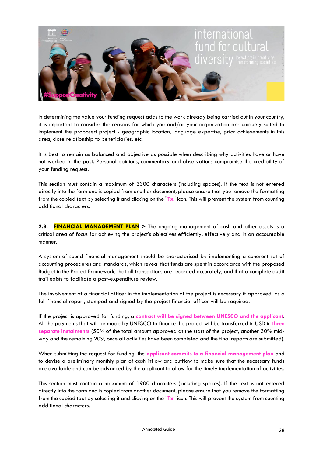

In determining the value your funding request adds to the work already being carried out in your country, it is important to consider the reasons for which you and/or your organization are uniquely suited to implement the proposed project - geographic location, language expertise, prior achievements in this area, close relationship to beneficiaries, etc.

It is best to remain as balanced and objective as possible when describing why activities have or have not worked in the past. Personal opinions, commentary and observations compromise the credibility of your funding request.

This section must contain a maximum of 3300 characters (including spaces). If the text is not entered directly into the form and is copied from another document, please ensure that you remove the formatting from the copied text by selecting it and clicking on the "**Tx**" icon. This will prevent the system from counting additional characters.

**2.8. FINANCIAL MANAGEMENT PLAN >** The ongoing management of cash and other assets is a critical area of focus for achieving the project's objectives efficiently, effectively and in an accountable manner.

A system of sound financial management should be characterised by implementing a coherent set of accounting procedures and standards, which reveal that funds are spent in accordance with the proposed Budget in the Project Framework, that all transactions are recorded accurately, and that a complete audit trail exists to facilitate a post-expenditure review.

The involvement of a financial officer in the implementation of the project is necessary if approved, as a full financial report, stamped and signed by the project financial officer will be required.

If the project is approved for funding, a **contract will be signed between UNESCO and the applicant**. All the payments that will be made by UNESCO to finance the project will be transferred in USD in **three separate instalments** (50% of the total amount approved at the start of the project, another 30% midway and the remaining 20% once all activities have been completed and the final reports are submitted).

When submitting the request for funding, the **applicant commits to a financial management plan** and to devise a preliminary monthly plan of cash inflow and outflow to make sure that the necessary funds are available and can be advanced by the applicant to allow for the timely implementation of activities.

This section must contain a maximum of 1900 characters (including spaces). If the text is not entered directly into the form and is copied from another document, please ensure that you remove the formatting from the copied text by selecting it and clicking on the "**Tx**" icon. This will prevent the system from counting additional characters.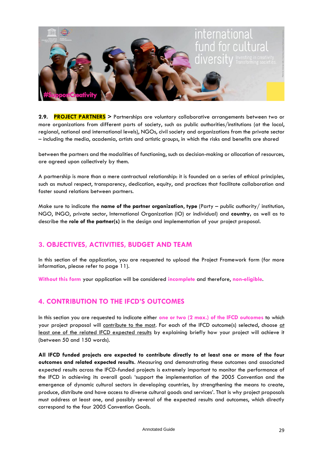

**2.9. PROJECT PARTNERS >** Partnerships are voluntary collaborative arrangements between two or more organizations from different parts of society, such as public authorities/institutions (at the local, regional, national and international levels), NGOs, civil society and organizations from the private sector – including the media, academia, artists and artistic groups, in which the risks and benefits are shared

between the partners and the modalities of functioning, such as decision-making or allocation of resources, are agreed upon collectively by them.

A partnership is more than a mere contractual relationship: it is founded on a series of ethical principles, such as mutual respect, transparency, dedication, equity, and practices that facilitate collaboration and foster sound relations between partners.

Make sure to indicate the **name of the partner organization**, **type** (Party – public authority/ institution, NGO, INGO, private sector, International Organization (IO) or individual) and **country,** as well as to describe the **role of the partner(s)** in the design and implementation of your project proposal.

#### **3. OBJECTIVES, ACTIVITIES, BUDGET AND TEAM**

In this section of the application, you are requested to upload the Project Framework form (for more information, please refer to page 11).

**Without this form** your application will be considered **incomplete** and therefore, **non-eligible**.

#### **4. CONTRIBUTION TO THE IFCD'S OUTCOMES**

In this section you are requested to indicate either **one or two (2 max.) of the IFCD outcomes** to which your project proposal will contribute to the most. For each of the IFCD outcome(s) selected, choose at least one of the related IFCD expected results by explaining briefly how your project will achieve it (between 50 and 150 words).

**All IFCD funded projects are expected to contribute directly to at least one or more of the four outcomes and related expected results**. Measuring and demonstrating these outcomes and associated expected results across the IFCD-funded projects is extremely important to monitor the performance of the IFCD in achieving its overall goal: 'support the implementation of the 2005 Convention and the emergence of dynamic cultural sectors in developing countries, by strengthening the means to create, produce, distribute and have access to diverse cultural goods and services'. That is why project proposals must address at least one, and possibly several of the expected results and outcomes, which directly correspond to the four 2005 Convention Goals.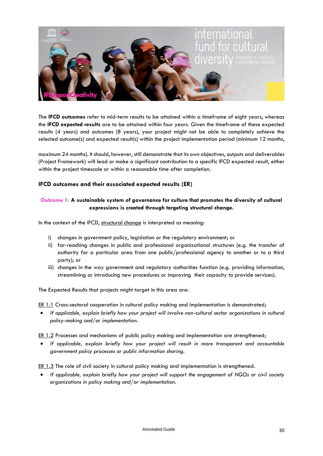

The **IFCD outcomes** refer to mid-term results to be attained within a timeframe of eight years, whereas the **IFCD expected results** are to be attained within four years. Given the timeframe of these expected results (4 years) and outcomes (8 years), your project might not be able to completely achieve the selected outcome(s) and expected result(s) within the project implementation period (minimum 12 months,

maximum 24 months). It should, however, still demonstrate that its own objectives, outputs and deliverables (Project Framework) will lead or make a significant contribution to a specific IFCD expected result, either within the project timescale or within a reasonable time after completion.

#### **IFCD outcomes and their associated expected results (ER)**

#### **Outcome 1: A sustainable system of governance for culture that promotes the diversity of cultural expressions is created through targeting structural change.**

In the context of the IFCD, structural change is interpreted as meaning:

- i) changes in government policy, legislation or the regulatory environment; or
- ii) far-reaching changes in public and professional organizational structures (e.g. the transfer of authority for a particular area from one public/professional agency to another or to a third party); or
- iii) changes in the way government and regulatory authorities function (e.g. providing information, streamlining or introducing new procedures or improving their capacity to provide services).

The Expected Results that projects might target in this area are:

ER 1.1 Cross-sectoral cooperation in cultural policy making and implementation is demonstrated;

• *If applicable, explain briefly how your project will involve non-cultural sector organizations in cultural policy-making and/or implementation.*

ER 1.2 Processes and mechanisms of public policy making and implementation are strengthened;

• *If applicable, explain briefly how your project will result in more transparent and accountable government policy processes or public information sharing.*

ER 1.3 The role of civil society in cultural policy making and implementation is strengthened.

• *If applicable, explain briefly how your project will support the engagement of NGOs or civil society organizations in policy making and/or implementation.*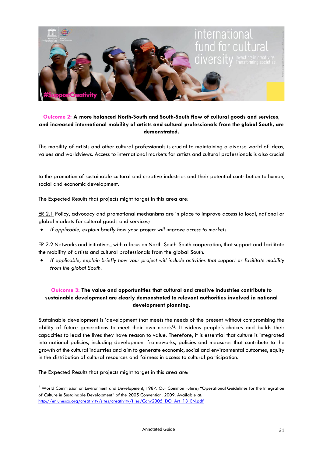

#### **Outcome 2: A more balanced North-South and South-South flow of cultural goods and services, and increased international mobility of artists and cultural professionals from the global South, are demonstrated.**

The mobility of artists and other cultural professionals is crucial to maintaining a diverse world of ideas, values and worldviews. Access to international markets for artists and cultural professionals is also crucial

to the promotion of sustainable cultural and creative industries and their potential contribution to human, social and economic development.

The Expected Results that projects might target in this area are:

ER 2.1 Policy, advocacy and promotional mechanisms are in place to improve access to local, national or global markets for cultural goods and services;

• *If applicable, explain briefly how your project will improve access to markets.*

ER 2.2 Networks and initiatives, with a focus on North-South-South cooperation, that support and facilitate the mobility of artists and cultural professionals from the global South.

• *If applicable, explain briefly how your project will include activities that support or facilitate mobility from the global South.*

#### **Outcome 3: The value and opportunities that cultural and creative industries contribute to sustainable development are clearly demonstrated to relevant authorities involved in national development planning.**

Sustainable development is 'development that meets the needs of the present without compromising the ability of future generations to meet their own needs' <sup>2</sup>. It widens people's choices and builds their capacities to lead the lives they have reason to value. Therefore, it is essential that culture is integrated into national policies, including development frameworks, policies and measures that contribute to the growth of the cultural industries and aim to generate economic, social and environmental outcomes, equity in the distribution of cultural resources and fairness in access to cultural participation.

The Expected Results that projects might target in this area are:

<sup>&</sup>lt;sup>2</sup> World Commission on Environment and Development, 1987. Our Common Future; "Operational Guidelines for the Integration of Culture in Sustainable Development" of the 2005 Convention. 2009. Available at: [http://en.unesco.org/creativity/sites/creativity/files/Conv2005\\_DO\\_Art\\_13\\_EN.pdf](http://en.unesco.org/creativity/sites/creativity/files/Conv2005_DO_Art_13_EN.pdf)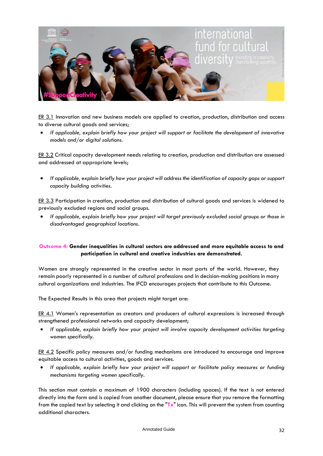

ER 3.1 Innovation and new business models are applied to creation, production, distribution and access to diverse cultural goods and services;

• *If applicable, explain briefly how your project will support or facilitate the development of innovative models and/or digital solutions.*

ER 3.2 Critical capacity development needs relating to creation, production and distribution are assessed and addressed at appropriate levels;

• *If applicable, explain briefly how your project will address the identification of capacity gaps or support capacity building activities.*

ER 3.3 Participation in creation, production and distribution of cultural goods and services is widened to previously excluded regions and social groups.

• *If applicable, explain briefly how your project will target previously excluded social groups or those in disadvantaged geographical locations.*

#### **Outcome 4: Gender inequalities in cultural sectors are addressed and more equitable access to and participation in cultural and creative industries are demonstrated.**

Women are strongly represented in the creative sector in most parts of the world. However, they remain poorly represented in a number of cultural professions and in decision-making positions in many cultural organizations and industries. The IFCD encourages projects that contribute to this Outcome.

The Expected Results in this area that projects might target are:

ER 4.1 Women's representation as creators and producers of cultural expressions is increased through strengthened professional networks and capacity development;

• *If applicable, explain briefly how your project will involve capacity development activities targeting women specifically.*

ER 4.2 Specific policy measures and/or funding mechanisms are introduced to encourage and improve equitable access to cultural activities, goods and services.

• *If applicable, explain briefly how your project will support or facilitate policy measures or funding mechanisms targeting women specifically.*

This section must contain a maximum of 1900 characters (including spaces). If the text is not entered directly into the form and is copied from another document, please ensure that you remove the formatting from the copied text by selecting it and clicking on the "**Tx**" icon. This will prevent the system from counting additional characters.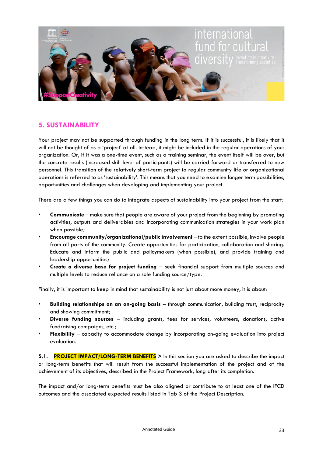

#### **5. SUSTAINABILITY**

Your project may not be supported through funding in the long term. If it is successful, it is likely that it will not be thought of as a 'project' at all. Instead, it might be included in the regular operations of your organization. Or, if it was a one-time event, such as a training seminar, the event itself will be over, but the concrete results (increased skill level of participants) will be carried forward or transferred to new personnel. This transition of the relatively short-term project to regular community life or organizational operations is referred to as 'sustainability'. This means that you need to examine longer term possibilities, opportunities and challenges when developing and implementing your project.

There are a few things you can do to integrate aspects of sustainability into your project from the start:

- **Communicate** make sure that people are aware of your project from the beginning by promoting activities, outputs and deliverables and incorporating communication strategies in your work plan when possible;
- **Encourage community/organizational/public involvement** to the extent possible, involve people from all parts of the community. Create opportunities for participation, collaboration and sharing. Educate and inform the public and policymakers (when possible), and provide training and leadership opportunities;
- **Create a diverse base for project funding** seek financial support from multiple sources and multiple levels to reduce reliance on a sole funding source/type.

Finally, it is important to keep in mind that sustainability is not just about more money, it is about:

- **Building relationships on an on-going basis** through communication, building trust, reciprocity and showing commitment;
- **Diverse funding sources** including grants, fees for services, volunteers, donations, active fundraising campaigns, etc.;
- **Flexibility** capacity to accommodate change by incorporating on-going evaluation into project evaluation.

**5.1. PROJECT IMPACT/LONG-TERM BENEFITS >** In this section you are asked to describe the impact or long-term benefits that will result from the successful implementation of the project and of the achievement of its objectives, described in the Project Framework, long after its completion.

The impact and/or long-term benefits must be also aligned or contribute to at least one of the IFCD outcomes and the associated expected results listed in Tab 3 of the Project Description.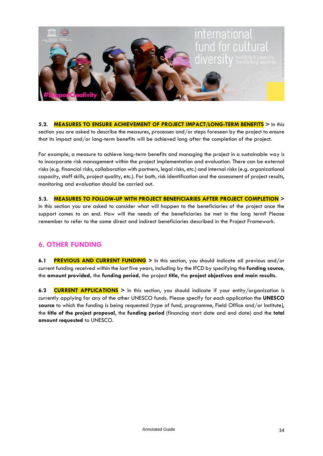

**5.2. MEASURES TO ENSURE ACHIEVEMENT OF PROJECT IMPACT/LONG-TERM BENEFITS >** In this section you are asked to describe the measures, processes and/or steps foreseen by the project to ensure that its impact and/or long-term benefits will be achieved long after the completion of the project.

For example, a measure to achieve long-term benefits and managing the project in a sustainable way is to incorporate risk management within the project implementation and evaluation. There can be external risks (e.g. financial risks, collaboration with partners, legal risks, etc.) and internal risks (e.g. organizational capacity, staff skills, project quality, etc.). For both, risk identification and the assessment of project results, monitoring and evaluation should be carried out.

**5.3. MEASURES TO FOLLOW-UP WITH PROJECT BENEFICIARIES AFTER PROJECT COMPLETION >**  In this section you are asked to consider what will happen to the beneficiaries of the project once the support comes to an end. How will the needs of the beneficiaries be met in the long term? Please remember to refer to the same direct and indirect beneficiaries described in the Project Framework.

#### **6. OTHER FUNDING**

**6.1 PREVIOUS AND CURRENT FUNDING >** In this section, you should indicate all previous and/or current funding received within the last five years, including by the IFCD by specifying the **funding source**, the **amount provided,** the **funding period,** the project **title**, the **project objectives and main results**.

**6.2 CURRENT APPLICATIONS >** In this section, you should indicate if your entity/organization is currently applying for any of the other UNESCO funds. Please specify for each application the **UNESCO**  source to which the funding is being requested (type of fund, programme, Field Office and/or Institute), the **title of the project proposal**, the **funding period** (financing start date and end date) and the **total amount requested** to UNESCO.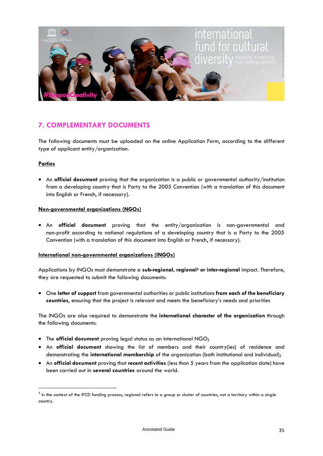

#### **7. COMPLEMENTARY DOCUMENTS**

The following documents must be uploaded on the online Application Form, according to the different type of applicant entity/organization.

#### **Parties**

• An **official document** proving that the organization is a public or governmental authority/institution from a developing country that is Party to the 2005 Convention (with a translation of this document into English or French, if necessary).

#### **Non-governmental organizations (NGOs)**

• An **official document** proving that the entity/organization is non-governmental and non-profit according to national regulations of a developing country that is a Party to the 2005 Convention (with a translation of this document into English or French, if necessary).

#### **International non-governmental organizations (INGOs)**

Applications by INGOs must demonstrate a **sub-regional, regional<sup>3</sup> or inter-regional** impact. Therefore, they are requested to submit the following documents:

• One **letter of support** from governmental authorities or public institutions **from each of the beneficiary countries**, ensuring that the project is relevant and meets the beneficiary's needs and priorities

The INGOs are also required to demonstrate the **international character of the organization** through the following documents:

- The **official document** proving legal status as an International NGO;
- An **official document** showing the list of members and their country(ies) of residence and demonstrating the **international membership** of the organization (both institutional and individual);
- An **official document** proving that **recent activities** (less than 5 years from the application date) have been carried out in **several countries** around the world.

 $^3$  In the context of the IFCD funding process, regional refers to a group or cluster of countries, not a territory within a single country.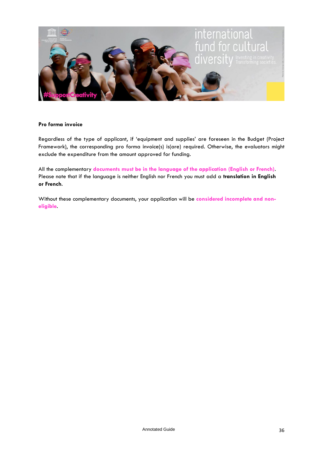

#### **Pro forma invoice**

Regardless of the type of applicant, if 'equipment and supplies' are foreseen in the Budget (Project Framework), the corresponding pro forma invoice(s) is(are) required. Otherwise, the evaluators might exclude the expenditure from the amount approved for funding.

All the complementary **documents must be in the language of the application (English or French)**. Please note that if the language is neither English nor French you must add a **translation in English or French**.

Without these complementary documents, your application will be **considered incomplete and noneligible**.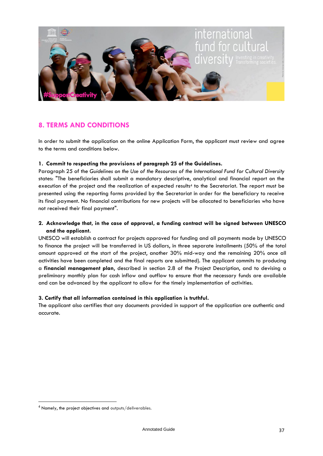

#### **8. TERMS AND CONDITIONS**

In order to submit the application on the online Application Form, the applicant must review and agree to the terms and conditions below.

#### **1. Commit to respecting the provisions of paragraph 25 of the Guidelines.**

Paragraph 25 of the *[Guidelines](http://en.unesco.org/creativity/sites/default/files/guidelines_ifcd_en.pdf) on the Use of the Resources of the International Fund for Cultural Diversity* states: "The beneficiaries shall submit a mandatory descriptive, analytical and financial report on the execution of the project and the realization of expected results<sup>4</sup> to the Secretariat. The report must be presented using the reporting forms provided by the Secretariat in order for the beneficiary to receive its final payment. No financial contributions for new projects will be allocated to beneficiaries who have not received their final payment".

#### **2. Acknowledge that, in the case of approval, a funding contract will be signed between UNESCO and the applicant.**

UNESCO will establish a contract for projects approved for funding and all payments made by UNESCO to finance the project will be transferred in US dollars, in three separate installments (50% of the total amount approved at the start of the project, another 30% mid-way and the remaining 20% once all activities have been completed and the final reports are submitted). The applicant commits to producing a **financial management plan**, described in section 2.8 of the Project Description, and to devising a preliminary monthly plan for cash inflow and outflow to ensure that the necessary funds are available and can be advanced by the applicant to allow for the timely implementation of activities.

#### **3. Certify that all information contained in this application is truthful.**

The applicant also certifies that any documents provided in support of the application are authentic and accurate.

<sup>4</sup> Namely, the project objectives and outputs/deliverables.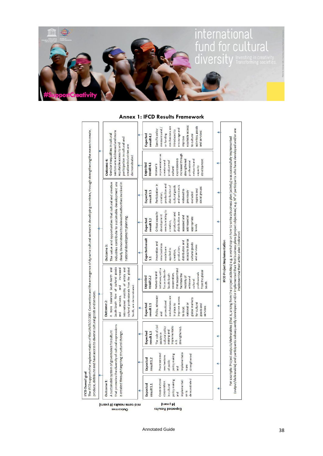

#### **Annex 1: IFCD Results Framework**

| measures and $/$<br>encourage and<br>Specific policy<br>introduced to<br>sectors are addressed and more<br>and services<br>Gender inequalities in cultural<br>or funding<br>Expected<br>result 4.2<br>to cultural<br>improve<br>participation in cultural and<br>equitable access to and<br>creative industries are<br>representation as<br>increased through<br>demonstrated<br>expressions is<br>Outcome 4:<br>networksand<br>development<br>strengthened<br>creatorsand<br>producersof<br>professional<br>Expected<br>result4.1<br>Women's<br>capacity<br>cultural<br>The value and opportunities that cultural and creative<br>industries contribute to sustainable development are<br>clearly demonstrated to relevant authorities involved in<br>Participation in<br>production and<br>and services is<br>distribution of<br>cultural goods<br>social groups<br>regions and<br>widened to<br>Expected<br>result 3.3<br>previously<br>excluded<br>creation,<br>needsrelating to<br>Critical capacity<br>production and<br>distribution are<br>development<br>assessed and<br>national development planning.<br>addressed at<br>appropriate<br>Expected<br>result 3.2<br>creation,<br>levels<br><b>Expected result</b><br>access to diverse<br>distribution and<br>Innovation and<br>cultural goods<br>new business<br>and services<br>Outcome 3:<br>production,<br>models are<br>applied to<br>creation,<br>3.1<br>South-South flow of cultural goods<br>increased<br>cultural professionals from the global<br>A more balanced South-North and<br>international mobility of artists and<br>initiatives, with a<br>that support and<br>focus on North-<br>from the global<br>Networksand<br>professionals<br>cooperation,<br>South-South<br>facilitate the<br>mobility of<br>Expected<br>result 2.2<br>artists and<br>cultural<br>South.<br>and<br>South, are demonstrated.<br>services,<br>Policy, advocacy<br>mechanisms are<br>improve access<br>global markets<br>Outcome 2:<br>promotional<br>for cultural<br>national or<br>in place to<br>Expected<br>goods and<br>result <sub>2.1</sub><br>services<br>to local,<br>and<br>and<br>that promotes the diversity of cultural expressions<br>The role of civil<br>implementatio<br>cultural policy<br>strengthened.<br>making and<br>governance for culture<br>Expected<br>is created through targeting structural change.<br>result1.3<br>society in<br>n is<br>implementatio<br>Processes and<br>making<br>strengthened<br>mechanisms<br>Expected<br>result <sub>1.2</sub><br>of public<br>A sustainable system of<br>policy<br>n are<br>and<br>Cross-sectoral<br>demonstrated<br>policy making<br>Outcome 1:<br>implementati<br>cooperation<br>Expected<br>result <sub>1.1</sub><br>in cultural<br>on is<br>and<br>(a years) |  |  |  |  |                                                         |
|------------------------------------------------------------------------------------------------------------------------------------------------------------------------------------------------------------------------------------------------------------------------------------------------------------------------------------------------------------------------------------------------------------------------------------------------------------------------------------------------------------------------------------------------------------------------------------------------------------------------------------------------------------------------------------------------------------------------------------------------------------------------------------------------------------------------------------------------------------------------------------------------------------------------------------------------------------------------------------------------------------------------------------------------------------------------------------------------------------------------------------------------------------------------------------------------------------------------------------------------------------------------------------------------------------------------------------------------------------------------------------------------------------------------------------------------------------------------------------------------------------------------------------------------------------------------------------------------------------------------------------------------------------------------------------------------------------------------------------------------------------------------------------------------------------------------------------------------------------------------------------------------------------------------------------------------------------------------------------------------------------------------------------------------------------------------------------------------------------------------------------------------------------------------------------------------------------------------------------------------------------------------------------------------------------------------------------------------------------------------------------------------------------------------------------------------------------------------------------------------------------------------------------------------------------------------------------------------------------------------------------------------------------------------------------------------------------------------------------------------------------------------------------------|--|--|--|--|---------------------------------------------------------|
|                                                                                                                                                                                                                                                                                                                                                                                                                                                                                                                                                                                                                                                                                                                                                                                                                                                                                                                                                                                                                                                                                                                                                                                                                                                                                                                                                                                                                                                                                                                                                                                                                                                                                                                                                                                                                                                                                                                                                                                                                                                                                                                                                                                                                                                                                                                                                                                                                                                                                                                                                                                                                                                                                                                                                                                          |  |  |  |  |                                                         |
|                                                                                                                                                                                                                                                                                                                                                                                                                                                                                                                                                                                                                                                                                                                                                                                                                                                                                                                                                                                                                                                                                                                                                                                                                                                                                                                                                                                                                                                                                                                                                                                                                                                                                                                                                                                                                                                                                                                                                                                                                                                                                                                                                                                                                                                                                                                                                                                                                                                                                                                                                                                                                                                                                                                                                                                          |  |  |  |  |                                                         |
|                                                                                                                                                                                                                                                                                                                                                                                                                                                                                                                                                                                                                                                                                                                                                                                                                                                                                                                                                                                                                                                                                                                                                                                                                                                                                                                                                                                                                                                                                                                                                                                                                                                                                                                                                                                                                                                                                                                                                                                                                                                                                                                                                                                                                                                                                                                                                                                                                                                                                                                                                                                                                                                                                                                                                                                          |  |  |  |  | equitable access<br>activities, goods<br>mechanisms are |
|                                                                                                                                                                                                                                                                                                                                                                                                                                                                                                                                                                                                                                                                                                                                                                                                                                                                                                                                                                                                                                                                                                                                                                                                                                                                                                                                                                                                                                                                                                                                                                                                                                                                                                                                                                                                                                                                                                                                                                                                                                                                                                                                                                                                                                                                                                                                                                                                                                                                                                                                                                                                                                                                                                                                                                                          |  |  |  |  |                                                         |

Annotated Guide 38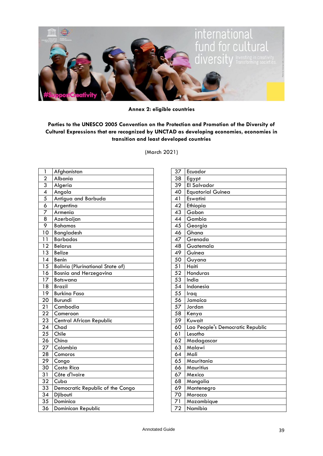

**Annex 2: eligible countries**

#### **Parties to the UNESCO 2005 Convention on the Protection and Promotion of the Diversity of Cultural Expressions that are recognized by UNCTAD as developing economies, economies in transition and least developed countries**

(March 2021)

| 1               | Afghanistan                             |
|-----------------|-----------------------------------------|
| $\overline{2}$  | Albania                                 |
| $\overline{3}$  | Algeria                                 |
| 4               | Angola                                  |
| $\overline{5}$  | Antigua and Barbuda                     |
| $\overline{6}$  | Argentina                               |
| $\overline{7}$  | Armenia                                 |
| 8               | Azerbaijan                              |
| 9               | <b>Bahamas</b>                          |
| 10              | <b>Bangladesh</b>                       |
| 11              | <b>Barbados</b>                         |
| $\overline{12}$ | <b>Belarus</b>                          |
| $\overline{13}$ | <b>Belize</b>                           |
| 14              | Benin                                   |
| $\overline{15}$ | <b>Bolivia (Plurinational State of)</b> |
| $\overline{16}$ | Bosnia and Herzegovina                  |
| 17              | Botswana                                |
| 18              | <b>Brazil</b>                           |
| 19              | <b>Burkina Faso</b>                     |
| $\overline{20}$ | Burundi                                 |
| 21              | Cambodia                                |
| $\overline{22}$ | Cameroon                                |
| 23              | <b>Central African Republic</b>         |
| 24              | Chad                                    |
| 25              | Chile                                   |
| 26              | China                                   |
| 27              | Colombia                                |
| 28              | Comoros                                 |
| 29              | Congo                                   |
| 30              | Costa Rica                              |
| 31              | Côte d'Ivoire                           |
| 32              | Cuba                                    |
| 33              | Democratic Republic of the Congo        |
| $\overline{34}$ | Djibouti                                |
| $\overline{35}$ | Dominica                                |
| 36              | Dominican Republic                      |

| 37              | Ecuador                          |
|-----------------|----------------------------------|
| 38              | Egypt                            |
| 39              | El Salvador                      |
| 40              | <b>Equatorial Guinea</b>         |
| 41              | Eswatini                         |
| 42              | Ethiopia                         |
| 43              | Gabon                            |
| 44              | Gambia                           |
| 45              | Georgia                          |
| 46              | Ghana                            |
| $\overline{47}$ | Grenada                          |
| 48              | Guatemala                        |
| 49              | Guinea                           |
| 50              | Guyana                           |
| 51              | Haiti                            |
| $\overline{52}$ | Honduras                         |
| 53              | India                            |
| $\overline{54}$ | Indonesia                        |
| 55              | Iraq                             |
| $\overline{56}$ | Jamaica                          |
| 57              | Jordan                           |
| 58              | Kenya                            |
| 59              | Kuwait                           |
| 60              | Lao People's Democratic Republic |
| 61              | Lesotho                          |
| 62              | Madagascar                       |
| 63              | Malawi                           |
| 64              | Mali                             |
| 65              | Mauritania                       |
| 66              | Mauritius                        |
| 67              | Mexico                           |
| 68              | Mongolia                         |
| 69              | Montenegro                       |
| 70              | Morocco                          |
| 71              | Mozambique                       |
| $\overline{72}$ | Namibia                          |